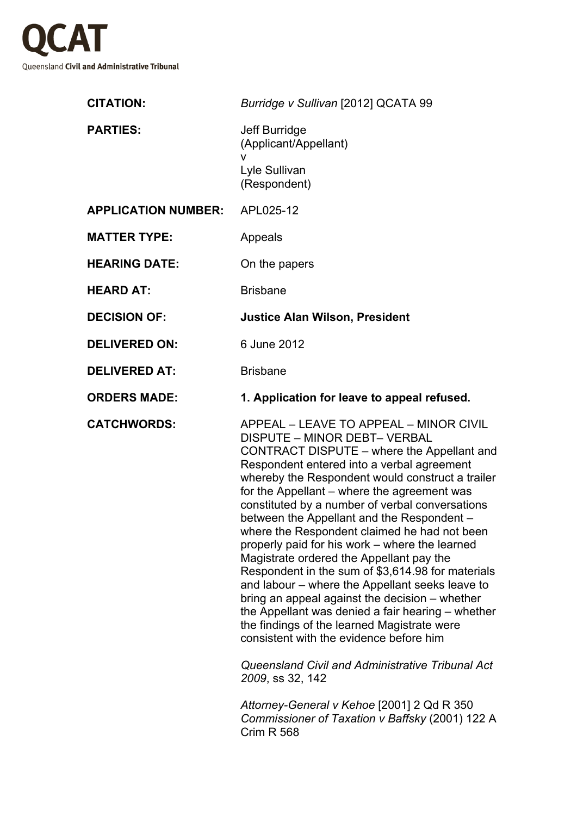

| <b>CITATION:</b>                     | Burridge v Sullivan [2012] QCATA 99                                                                                                                                                                                                                                                                                                                                                                                                                                                                                                                                                                                                                                                                                                                 |
|--------------------------------------|-----------------------------------------------------------------------------------------------------------------------------------------------------------------------------------------------------------------------------------------------------------------------------------------------------------------------------------------------------------------------------------------------------------------------------------------------------------------------------------------------------------------------------------------------------------------------------------------------------------------------------------------------------------------------------------------------------------------------------------------------------|
| <b>PARTIES:</b>                      | Jeff Burridge<br>(Applicant/Appellant)<br>v                                                                                                                                                                                                                                                                                                                                                                                                                                                                                                                                                                                                                                                                                                         |
|                                      | Lyle Sullivan<br>(Respondent)                                                                                                                                                                                                                                                                                                                                                                                                                                                                                                                                                                                                                                                                                                                       |
| <b>APPLICATION NUMBER: APL025-12</b> |                                                                                                                                                                                                                                                                                                                                                                                                                                                                                                                                                                                                                                                                                                                                                     |
| <b>MATTER TYPE:</b>                  | Appeals                                                                                                                                                                                                                                                                                                                                                                                                                                                                                                                                                                                                                                                                                                                                             |
| <b>HEARING DATE:</b>                 | On the papers                                                                                                                                                                                                                                                                                                                                                                                                                                                                                                                                                                                                                                                                                                                                       |
| <b>HEARD AT:</b>                     | <b>Brisbane</b>                                                                                                                                                                                                                                                                                                                                                                                                                                                                                                                                                                                                                                                                                                                                     |
| <b>DECISION OF:</b>                  | <b>Justice Alan Wilson, President</b>                                                                                                                                                                                                                                                                                                                                                                                                                                                                                                                                                                                                                                                                                                               |
| <b>DELIVERED ON:</b>                 | 6 June 2012                                                                                                                                                                                                                                                                                                                                                                                                                                                                                                                                                                                                                                                                                                                                         |
| <b>DELIVERED AT:</b>                 | <b>Brisbane</b>                                                                                                                                                                                                                                                                                                                                                                                                                                                                                                                                                                                                                                                                                                                                     |
| <b>ORDERS MADE:</b>                  | 1. Application for leave to appeal refused.                                                                                                                                                                                                                                                                                                                                                                                                                                                                                                                                                                                                                                                                                                         |
| <b>CATCHWORDS:</b>                   | APPEAL - LEAVE TO APPEAL - MINOR CIVIL<br>DISPUTE - MINOR DEBT- VERBAL                                                                                                                                                                                                                                                                                                                                                                                                                                                                                                                                                                                                                                                                              |
|                                      | CONTRACT DISPUTE – where the Appellant and<br>Respondent entered into a verbal agreement<br>whereby the Respondent would construct a trailer<br>for the Appellant – where the agreement was<br>constituted by a number of verbal conversations<br>between the Appellant and the Respondent -<br>where the Respondent claimed he had not been<br>properly paid for his work – where the learned<br>Magistrate ordered the Appellant pay the<br>Respondent in the sum of \$3,614.98 for materials<br>and labour – where the Appellant seeks leave to<br>bring an appeal against the decision - whether<br>the Appellant was denied a fair hearing – whether<br>the findings of the learned Magistrate were<br>consistent with the evidence before him |
|                                      | Queensland Civil and Administrative Tribunal Act<br>2009, ss 32, 142                                                                                                                                                                                                                                                                                                                                                                                                                                                                                                                                                                                                                                                                                |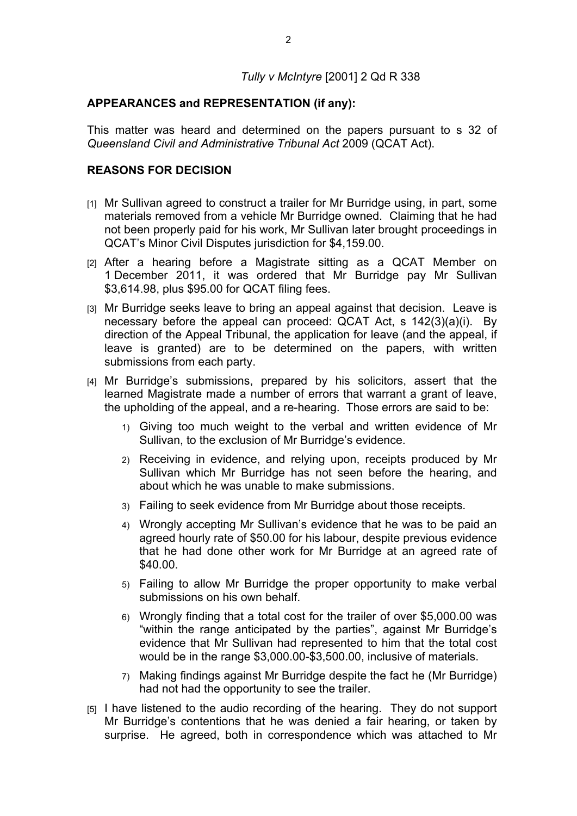## *Tully v McIntyre* [2001] 2 Qd R 338

## **APPEARANCES and REPRESENTATION (if any):**

This matter was heard and determined on the papers pursuant to s 32 of *Queensland Civil and Administrative Tribunal Act* 2009 (QCAT Act).

## **REASONS FOR DECISION**

- [1] Mr Sullivan agreed to construct a trailer for Mr Burridge using, in part, some materials removed from a vehicle Mr Burridge owned. Claiming that he had not been properly paid for his work, Mr Sullivan later brought proceedings in QCAT's Minor Civil Disputes jurisdiction for \$4,159.00.
- [2] After a hearing before a Magistrate sitting as a QCAT Member on 1 December 2011, it was ordered that Mr Burridge pay Mr Sullivan \$3,614.98, plus \$95.00 for QCAT filing fees.
- [3] Mr Burridge seeks leave to bring an appeal against that decision. Leave is necessary before the appeal can proceed: QCAT Act, s 142(3)(a)(i). By direction of the Appeal Tribunal, the application for leave (and the appeal, if leave is granted) are to be determined on the papers, with written submissions from each party.
- [4] Mr Burridge's submissions, prepared by his solicitors, assert that the learned Magistrate made a number of errors that warrant a grant of leave, the upholding of the appeal, and a re-hearing. Those errors are said to be:
	- 1) Giving too much weight to the verbal and written evidence of Mr Sullivan, to the exclusion of Mr Burridge's evidence.
	- 2) Receiving in evidence, and relying upon, receipts produced by Mr Sullivan which Mr Burridge has not seen before the hearing, and about which he was unable to make submissions.
	- 3) Failing to seek evidence from Mr Burridge about those receipts.
	- 4) Wrongly accepting Mr Sullivan's evidence that he was to be paid an agreed hourly rate of \$50.00 for his labour, despite previous evidence that he had done other work for Mr Burridge at an agreed rate of \$40.00.
	- 5) Failing to allow Mr Burridge the proper opportunity to make verbal submissions on his own behalf.
	- 6) Wrongly finding that a total cost for the trailer of over \$5,000.00 was "within the range anticipated by the parties", against Mr Burridge's evidence that Mr Sullivan had represented to him that the total cost would be in the range \$3,000.00-\$3,500.00, inclusive of materials.
	- 7) Making findings against Mr Burridge despite the fact he (Mr Burridge) had not had the opportunity to see the trailer.
- [5] I have listened to the audio recording of the hearing. They do not support Mr Burridge's contentions that he was denied a fair hearing, or taken by surprise. He agreed, both in correspondence which was attached to Mr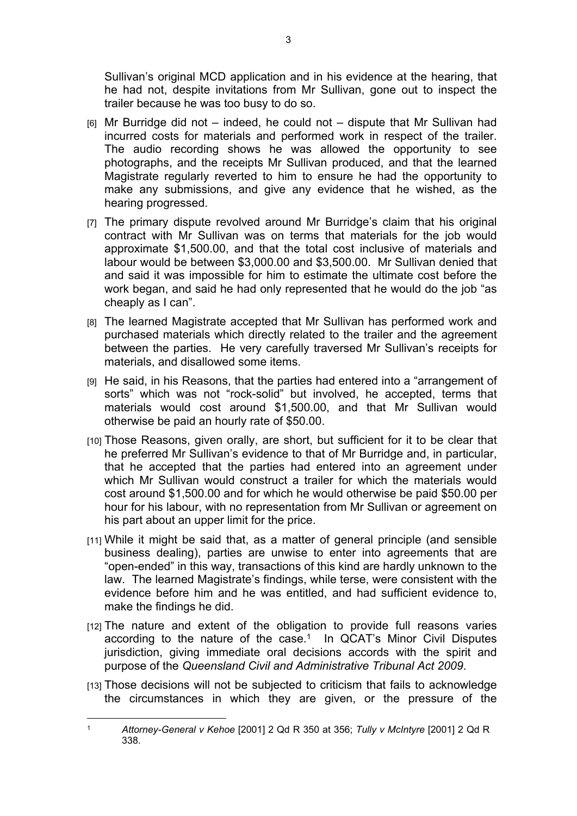Sullivan's original MCD application and in his evidence at the hearing, that he had not, despite invitations from Mr Sullivan, gone out to inspect the trailer because he was too busy to do so.

- $[6]$  Mr Burridge did not indeed, he could not dispute that Mr Sullivan had incurred costs for materials and performed work in respect of the trailer. The audio recording shows he was allowed the opportunity to see photographs, and the receipts Mr Sullivan produced, and that the learned Magistrate regularly reverted to him to ensure he had the opportunity to make any submissions, and give any evidence that he wished, as the hearing progressed.
- [7] The primary dispute revolved around Mr Burridge's claim that his original contract with Mr Sullivan was on terms that materials for the job would approximate \$1,500.00, and that the total cost inclusive of materials and labour would be between \$3,000.00 and \$3,500.00. Mr Sullivan denied that and said it was impossible for him to estimate the ultimate cost before the work began, and said he had only represented that he would do the job "as cheaply as I can".
- [8] The learned Magistrate accepted that Mr Sullivan has performed work and purchased materials which directly related to the trailer and the agreement between the parties. He very carefully traversed Mr Sullivan's receipts for materials, and disallowed some items.
- [9] He said, in his Reasons, that the parties had entered into a "arrangement of sorts" which was not "rock-solid" but involved, he accepted, terms that materials would cost around \$1,500.00, and that Mr Sullivan would otherwise be paid an hourly rate of \$50.00.
- [10] Those Reasons, given orally, are short, but sufficient for it to be clear that he preferred Mr Sullivan's evidence to that of Mr Burridge and, in particular, that he accepted that the parties had entered into an agreement under which Mr Sullivan would construct a trailer for which the materials would cost around \$1,500.00 and for which he would otherwise be paid \$50.00 per hour for his labour, with no representation from Mr Sullivan or agreement on his part about an upper limit for the price.
- [11] While it might be said that, as a matter of general principle (and sensible business dealing), parties are unwise to enter into agreements that are "open-ended" in this way, transactions of this kind are hardly unknown to the law. The learned Magistrate's findings, while terse, were consistent with the evidence before him and he was entitled, and had sufficient evidence to, make the findings he did.
- [12] The nature and extent of the obligation to provide full reasons varies according to the nature of the case.<sup>1</sup> In QCAT's Minor Civil Disputes jurisdiction, giving immediate oral decisions accords with the spirit and purpose of the *Queensland Civil and Administrative Tribunal Act 2009*.
- [13] Those decisions will not be subjected to criticism that fails to acknowledge the circumstances in which they are given, or the pressure of the

<sup>1</sup> *Attorney-General v Kehoe* [2001] 2 Qd R 350 at 356; *Tully v McIntyre* [2001] 2 Qd R 338.